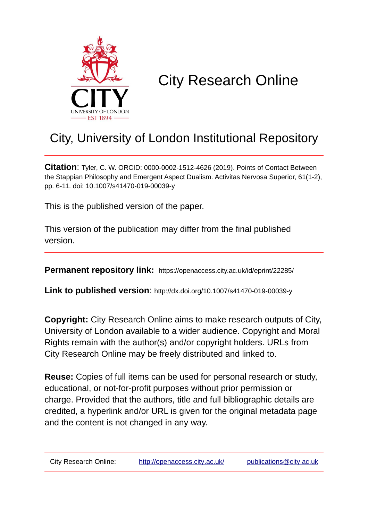

# City Research Online

# City, University of London Institutional Repository

**Citation**: Tyler, C. W. ORCID: 0000-0002-1512-4626 (2019). Points of Contact Between the Stappian Philosophy and Emergent Aspect Dualism. Activitas Nervosa Superior, 61(1-2), pp. 6-11. doi: 10.1007/s41470-019-00039-y

This is the published version of the paper.

This version of the publication may differ from the final published version.

**Permanent repository link:** https://openaccess.city.ac.uk/id/eprint/22285/

**Link to published version**: http://dx.doi.org/10.1007/s41470-019-00039-y

**Copyright:** City Research Online aims to make research outputs of City, University of London available to a wider audience. Copyright and Moral Rights remain with the author(s) and/or copyright holders. URLs from City Research Online may be freely distributed and linked to.

**Reuse:** Copies of full items can be used for personal research or study, educational, or not-for-profit purposes without prior permission or charge. Provided that the authors, title and full bibliographic details are credited, a hyperlink and/or URL is given for the original metadata page and the content is not changed in any way.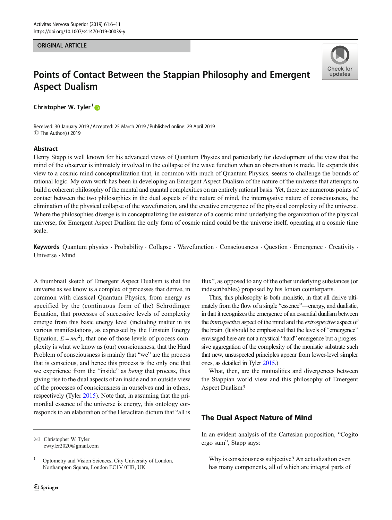#### ORIGINAL ARTICLE

# **Check for** undates

## Points of Contact Between the Stappian Philosophy and Emergent Aspect Dualism

Christopher W. Tyler<sup>1</sup>

Received: 30 January 2019 /Accepted: 25 March 2019 /Published online: 29 April 2019 C The Author(s) 2019

#### Abstract

Henry Stapp is well known for his advanced views of Quantum Physics and particularly for development of the view that the mind of the observer is intimately involved in the collapse of the wave function when an observation is made. He expands this view to a cosmic mind conceptualization that, in common with much of Quantum Physics, seems to challenge the bounds of rational logic. My own work has been in developing an Emergent Aspect Dualism of the nature of the universe that attempts to build a coherent philosophy of the mental and quantal complexities on an entirely rational basis. Yet, there are numerous points of contact between the two philosophies in the dual aspects of the nature of mind, the interrogative nature of consciousness, the elimination of the physical collapse of the wavefunction, and the creative emergence of the physical complexity of the universe. Where the philosophies diverge is in conceptualizing the existence of a cosmic mind underlying the organization of the physical universe; for Emergent Aspect Dualism the only form of cosmic mind could be the universe itself, operating at a cosmic time scale.

Keywords Quantum physics . Probability . Collapse . Wavefunction . Consciousness . Question . Emergence . Creativity . Universe . Mind

A thumbnail sketch of Emergent Aspect Dualism is that the universe as we know is a complex of processes that derive, in common with classical Quantum Physics, from energy as specified by the (continuous form of the) Schrödinger Equation, that processes of successive levels of complexity emerge from this basic energy level (including matter in its various manifestations, as expressed by the Einstein Energy Equation,  $E = mc^2$ ), that one of those levels of process complexity is what we know as (our) consciousness, that the Hard Problem of consciousness is mainly that "we" are the process that is conscious, and hence this process is the only one that we experience from the "inside" as being that process, thus giving rise to the dual aspects of an inside and an outside view of the processes of consciousness in ourselves and in others, respectively (Tyler [2015\)](#page-6-0). Note that, in assuming that the primordial essence of the universe is energy, this ontology corresponds to an elaboration of the Heraclitan dictum that "all is

flux", as opposed to any of the other underlying substances (or indescribables) proposed by his Ionian counterparts.

Thus, this philosophy is both monistic, in that all derive ultimately from the flow of a single "essence"—energy, and dualistic, in that it recognizes the emergence of an essential dualism between the introspective aspect of the mind and the extrospective aspect of the brain. (It should be emphasized that the levels of "emergence" envisaged here are not a mystical "hard" emergence but a progressive aggregation of the complexity of the monistic substrate such that new, unsuspected principles appear from lower-level simpler ones, as detailed in Tyler [2015.](#page-6-0))

What, then, are the mutualities and divergences between the Stappian world view and this philosophy of Emergent Aspect Dualism?

### The Dual Aspect Nature of Mind

In an evident analysis of the Cartesian proposition, "Cogito ergo sum", Stapp says:

Why is consciousness subjective? An actualization even has many components, all of which are integral parts of

 $\boxtimes$  Christopher W. Tyler [cwtyler2020@gmail.com](mailto:cwtyler2020@gmail.com)

<sup>&</sup>lt;sup>1</sup> Optometry and Vision Sciences, City University of London, Northampton Square, London EC1V 0HB, UK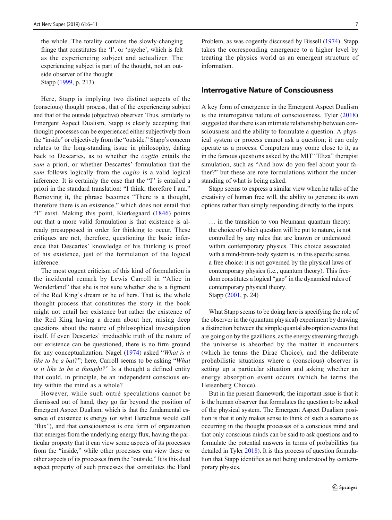the whole. The totality contains the slowly-changing fringe that constitutes the 'I', or 'psyche', which is felt as the experiencing subject and actualizer. The experiencing subject is part of the thought, not an outside observer of the thought Stapp [\(1999,](#page-6-0) p. 213)

Here, Stapp is implying two distinct aspects of the (conscious) thought process, that of the experiencing subject and that of the outside (objective) observer. Thus, similarly to Emergent Aspect Dualism, Stapp is clearly accepting that thought processes can be experienced either subjectively from the "inside" or objectively from the "outside." Stapp's concern relates to the long-standing issue in philosophy, dating back to Descartes, as to whether the *cogito* entails the sum a priori, or whether Descartes' formulation that the sum follows logically from the *cogito* is a valid logical inference. It is certainly the case that the "I" is entailed a priori in the standard translation: "I think, therefore I am." Removing it, the phrase becomes "There is a thought, therefore there is an existence," which does not entail that "I" exist. Making this point, Kierkegaard ([1846](#page-6-0)) points out that a more valid formulation is that existence is already presupposed in order for thinking to occur. These critiques are not, therefore, questioning the basic inference that Descartes' knowledge of his thinking is proof of his existence, just of the formulation of the logical inference.

The most cogent criticism of this kind of formulation is the incidental remark by Lewis Carroll in "Alice in Wonderland" that she is not sure whether she is a figment of the Red King's dream or he of hers. That is, the whole thought process that constitutes the story in the book might not entail her existence but rather the existence of the Red King having a dream about her, raising deep questions about the nature of philosophical investigation itself. If even Descartes' irreducible truth of the nature of our existence can be questioned, there is no firm ground for any conceptualization. Nagel ([1974\)](#page-6-0) asked "What is it like to be a bat?"; here, Carroll seems to be asking "What is it like to be a thought?" Is a thought a defined entity that could, in principle, be an independent conscious entity within the mind as a whole?

However, while such outré speculations cannot be dismissed out of hand, they go far beyond the position of Emergent Aspect Dualism, which is that the fundamental essence of existence is energy (or what Heraclitus would call "flux"), and that consciousness is one form of organization that emerges from the underlying energy flux, having the particular property that it can view some aspects of its processes from the "inside," while other processes can view these or other aspects of its processes from the "outside." It is this dual aspect property of such processes that constitutes the Hard

Problem, as was cogently discussed by Bissell [\(1974\)](#page-6-0). Stapp takes the corresponding emergence to a higher level by treating the physics world as an emergent structure of information.

#### Interrogative Nature of Consciousness

A key form of emergence in the Emergent Aspect Dualism is the interrogative nature of consciousness. Tyler ([2018](#page-6-0)) suggested that there is an intimate relationship between consciousness and the ability to formulate a question. A physical system or process cannot ask a question; it can only operate as a process. Computers may come close to it, as in the famous questions asked by the MIT "Eliza" therapist simulation, such as "And how do you feel about your father?" but these are rote formulations without the understanding of what is being asked.

Stapp seems to express a similar view when he talks of the creativity of human free will, the ability to generate its own options rather than simply responding directly to the inputs.

… in the transition to von Neumann quantum theory: the choice of which question will be put to nature, is not controlled by any rules that are known or understood within contemporary physics. This choice associated with a mind-brain-body system is, in this specific sense, a free choice: it is not governed by the physical laws of contemporary physics (i.e., quantum theory). This freedom constitutes a logical "gap" in the dynamical rules of contemporary physical theory. Stapp [\(2001,](#page-6-0) p. 24)

What Stapp seems to be doing here is specifying the role of the observer in the (quantum physical) experiment by drawing a distinction between the simple quantal absorption events that are going on by the gazillions, as the energy streaming through the universe is absorbed by the matter it encounters (which he terms the Dirac Choice), and the deliberate probabilistic situations where a (conscious) observer is setting up a particular situation and asking whether an energy absorption event occurs (which he terms the Heisenberg Choice).

But in the present framework, the important issue is that it is the human observer that formulates the question to be asked of the physical system. The Emergent Aspect Dualism position is that it only makes sense to think of such a scenario as occurring in the thought processes of a conscious mind and that only conscious minds can be said to ask questions and to formulate the potential answers in terms of probabilities (as detailed in Tyler [2018](#page-6-0)). It is this process of question formulation that Stapp identifies as not being understood by contemporary physics.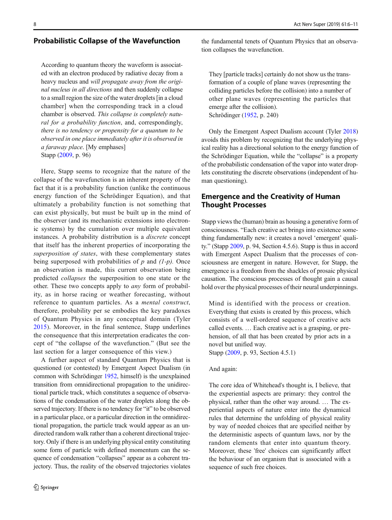#### Probabilistic Collapse of the Wavefunction

According to quantum theory the waveform is associated with an electron produced by radiative decay from a heavy nucleus and will propagate away from the original nucleus in all directions and then suddenly collapse to a small region the size of the water droplets [in a cloud chamber] when the corresponding track in a cloud chamber is observed. This collapse is completely natural for a probability function, and, correspondingly, there is no tendency or propensity for a quantum to be observed in one place immediately after it is observed in a faraway place. [My emphases] Stapp [\(2009,](#page-6-0) p. 96)

Here, Stapp seems to recognize that the nature of the collapse of the wavefunction is an inherent property of the fact that it is a probability function (unlike the continuous energy function of the Schrödinger Equation), and that ultimately a probability function is not something that can exist physically, but must be built up in the mind of the observer (and its mechanistic extensions into electronic systems) by the cumulation over multiple equivalent instances. A probability distribution is a *discrete* concept that itself has the inherent properties of incorporating the superposition of states, with these complementary states being superposed with probabilities of  $p$  and  $(1-p)$ . Once an observation is made, this current observation being predicted collapses the superposition to one state or the other. These two concepts apply to any form of probability, as in horse racing or weather forecasting, without reference to quantum particles. As a mental construct, therefore, probability per se embodies the key paradoxes of Quantum Physics in any conceptual domain (Tyler [2015](#page-6-0)). Moreover, in the final sentence, Stapp underlines the consequence that this interpretation eradicates the concept of "the collapse of the wavefunction." (But see the last section for a larger consequence of this view.)

A further aspect of standard Quantum Physics that is questioned (or contested) by Emergent Aspect Dualism (in common with Schrödinger [1952,](#page-6-0) himself) is the unexplained transition from omnidirectional propagation to the unidirectional particle track, which constitutes a sequence of observations of the condensation of the water droplets along the observed trajectory. If there is no tendency for "it" to be observed in a particular place, or a particular direction in the omnidirectional propagation, the particle track would appear as an undirected random walk rather than a coherent directional trajectory. Only if there is an underlying physical entity constituting some form of particle with defined momentum can the sequence of condensation "collapses" appear as a coherent trajectory. Thus, the reality of the observed trajectories violates

the fundamental tenets of Quantum Physics that an observation collapses the wavefunction.

They [particle tracks] certainly do not show us the transformation of a couple of plane waves (representing the colliding particles before the collision) into a number of other plane waves (representing the particles that emerge after the collision). Schrödinger ([1952](#page-6-0), p. 240)

Only the Emergent Aspect Dualism account (Tyler [2018](#page-6-0)) avoids this problem by recognizing that the underlying physical reality has a directional solution to the energy function of the Schrödinger Equation, while the "collapse" is a property of the probabilistic condensation of the vapor into water droplets constituting the discrete observations (independent of human questioning).

### Emergence and the Creativity of Human Thought Processes

Stapp views the (human) brain as housing a generative form of consciousness. "Each creative act brings into existence something fundamentally new: it creates a novel 'emergent' quality." (Stapp [2009](#page-6-0), p. 94, Section 4.5.6). Stapp is thus in accord with Emergent Aspect Dualism that the processes of consciousness are emergent in nature. However, for Stapp, the emergence is a freedom from the shackles of prosaic physical causation. The conscious processes of thought gain a causal hold over the physical processes of their neural underpinnings.

Mind is identified with the process or creation. Everything that exists is created by this process, which consists of a well-ordered sequence of creative acts called events. … Each creative act is a grasping, or prehension, of all that has been created by prior acts in a novel but unified way.

Stapp [\(2009,](#page-6-0) p. 93, Section 4.5.1)

#### And again:

The core idea of Whitehead's thought is, I believe, that the experiential aspects are primary: they control the physical, rather than the other way around. … The experiential aspects of nature enter into the dynamical rules that determine the unfolding of physical reality by way of needed choices that are specified neither by the deterministic aspects of quantum laws, nor by the random elements that enter into quantum theory. Moreover, these 'free' choices can significantly affect the behaviour of an organism that is associated with a sequence of such free choices.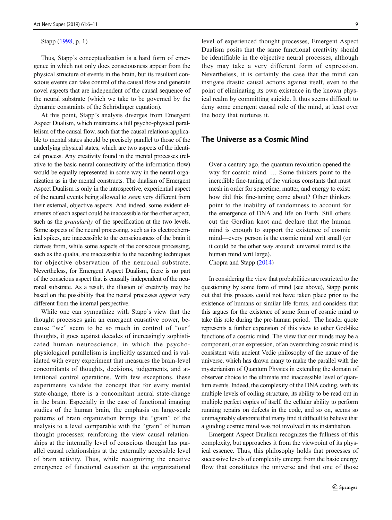#### Stapp [\(1998,](#page-6-0) p. 1)

Thus, Stapp's conceptualization is a hard form of emergence in which not only does consciousness appear from the physical structure of events in the brain, but its resultant conscious events can take control of the causal flow and generate novel aspects that are independent of the causal sequence of the neural substrate (which we take to be governed by the dynamic constraints of the Schrödinger equation).

At this point, Stapp's analysis diverges from Emergent Aspect Dualism, which maintains a full psycho-physical parallelism of the causal flow, such that the causal relations applicable to mental states should be precisely parallel to those of the underlying physical states, which are two aspects of the identical process. Any creativity found in the mental processes (relative to the basic neural connectivity of the information flow) would be equally represented in some way in the neural organization as in the mental constructs. The dualism of Emergent Aspect Dualism is only in the introspective, experiential aspect of the neural events being allowed to seem very different from their external, objective aspects. And indeed, some evident elements of each aspect could be inaccessible for the other aspect, such as the *granularity* of the specification at the two levels. Some aspects of the neural processing, such as its electrochemical spikes, are inaccessible to the consciousness of the brain it derives from, while some aspects of the conscious processing, such as the qualia, are inaccessible to the recording techniques for objective observation of the neuronal substrate. Nevertheless, for Emergent Aspect Dualism, there is no part of the conscious aspect that is causally independent of the neuronal substrate. As a result, the illusion of creativity may be based on the possibility that the neural processes *appear* very different from the internal perspective.

While one can sympathize with Stapp's view that the thought processes gain an emergent causative power, because "we" seem to be so much in control of "our" thoughts, it goes against decades of increasingly sophisticated human neuroscience, in which the psychophysiological parallelism is implicitly assumed and is validated with every experiment that measures the brain-level concomitants of thoughts, decisions, judgements, and attentional control operations. With few exceptions, these experiments validate the concept that for every mental state-change, there is a concomitant neural state-change in the brain. Especially in the case of functional imaging studies of the human brain, the emphasis on large-scale patterns of brain organization brings the "grain" of the analysis to a level comparable with the "grain" of human thought processes; reinforcing the view causal relationships at the internally level of conscious thought has parallel causal relationships at the externally accessible level of brain activity. Thus, while recognizing the creative emergence of functional causation at the organizational

level of experienced thought processes, Emergent Aspect Dualism posits that the same functional creativity should be identifiable in the objective neural processes, although they may take a very different form of expression. Nevertheless, it is certainly the case that the mind can instigate drastic causal actions against itself, even to the point of eliminating its own existence in the known physical realm by committing suicide. It thus seems difficult to deny some emergent causal role of the mind, at least over the body that nurtures it.

### The Universe as a Cosmic Mind

Over a century ago, the quantum revolution opened the way for cosmic mind. … Some thinkers point to the incredible fine-tuning of the various constants that must mesh in order for spacetime, matter, and energy to exist: how did this fine-tuning come about? Other thinkers point to the inability of randomness to account for the emergence of DNA and life on Earth. Still others cut the Gordian knot and declare that the human mind is enough to support the existence of cosmic mind—every person is the cosmic mind writ small (or it could be the other way around: universal mind is the human mind writ large).

Chopra and Stapp [\(2014\)](#page-6-0)

In considering the view that probabilities are restricted to the questioning by some form of mind (see above), Stapp points out that this process could not have taken place prior to the existence of humans or similar life forms, and considers that this argues for the existence of some form of cosmic mind to take this role during the pre-human period. The header quote represents a further expansion of this view to other God-like functions of a cosmic mind. The view that our minds may be a component, or an expression, of an overarching cosmic mind is consistent with ancient Vedic philosophy of the nature of the universe, which has drawn many to make the parallel with the mysterianism of Quantum Physics in extending the domain of observer choice to the ultimate and inaccessible level of quantum events. Indeed, the complexity of the DNA coding, with its multiple levels of coiling structure, its ability to be read out in multiple perfect copies of itself, the cellular ability to perform running repairs on defects in the code, and so on, seems so unimaginably elanorate that many find it difficult to believe that a guiding cosmic mind was not involved in its instantiation.

Emergent Aspect Dualism recognizes the fullness of this complexity, but approaches it from the viewpoint of its physical essence. Thus, this philosophy holds that processes of successive levels of complexity emerge from the basic energy flow that constitutes the universe and that one of those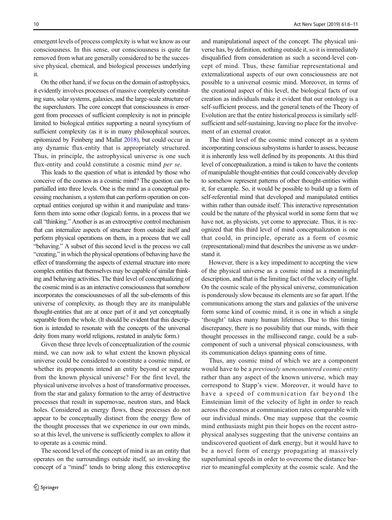emergent levels of process complexity is what we know as our consciousness. In this sense, our consciousness is quite far removed from what are generally considered to be the successive physical, chemical, and biological processes underlying it.

On the other hand, if we focus on the domain of astrophysics, it evidently involves processes of massive complexity constituting suns, solar systems, galaxies, and the large-scale structure of the superclusters. The core concept that consciousness is emergent from processes of sufficient complexity is not in principle limited to biological entities supporting a neural syncytium of sufficient complexity (as it is in many philosophical sources, epitomized by Feinberg and Mallat [2018](#page-6-0)), but could occur in any dynamic flux-entity that is appropriately structured. Thus, in principle, the astrophysical universe is one such flux-entity and could constitute a cosmic mind per se.

This leads to the question of what is intended by those who conceive of the cosmos as a cosmic mind? The question can be partialled into three levels. One is the mind as a conceptual processing mechanism, a system that can perform operation on conceptual entities conjured up within it and manipulate and transform them into some other (logical) forms, in a process that we call "thinking." Another is as an extroceptive control mechanism that can internalize aspects of structure from outside itself and perform physical operations on them, in a process that we call "behaving." A subset of this second level is the process we call "creating," in which the physical operations of behaving have the effect of transforming the aspects of external structure into more complex entities that themselves may be capable of similar thinking and behaving activities. The third level of conceptualizing of the cosmic mind is as an interactive consciousness that somehow incorporates the consciousnesses of all the sub-elements of this universe of complexity, as though they are its manipulable thought-entities that are at once part of it and yet conceptually separable from the whole. (It should be evident that this description is intended to resonate with the concepts of the universal deity from many world religions, restated in analytic form.)

Given these three levels of conceptualization of the cosmic mind, we can now ask to what extent the known physical universe could be considered to constitute a cosmic mind, or whether its proponents intend an entity beyond or separate from the known physical universe? For the first level, the physical universe involves a host of transformative processes, from the star and galaxy formation to the array of destructive processes that result in supernovae, neutron stars, and black holes. Considered as energy flows, these processes do not appear to be conceptually distinct from the energy flow of the thought processes that we experience in our own minds, so at this level, the universe is sufficiently complex to allow it to operate as a cosmic mind.

The second level of the concept of mind is as an entity that operates on the surroundings outside itself, so invoking the concept of a "mind" tends to bring along this exteroceptive

and manipulational aspect of the concept. The physical universe has, by definition, nothing outside it, so it is immediately disqualified from consideration as such a second-level concept of mind. Thus, these familiar representational and externalizational aspects of our own consciousness are not possible to a universal cosmic mind. Moreover, in terms of the creational aspect of this level, the biological facts of our creation as individuals make it evident that our ontology is a self-sufficient process, and the general tenets of the Theory of Evolution are that the entire historical process is similarly selfsufficient and self-sustaining, leaving no place for the involvement of an external creator.

The third level of the cosmic mind concept as a system incorporating conscious subsystems is harder to assess, because it is inherently less well defined by its proponents. At this third level of conceptualization, a mind is taken to have the contents of manipulable thought-entities that could conceivably develop to somehow represent patterns of other thought-entities within it, for example. So, it would be possible to build up a form of self-referential mind that developed and manipulated entities within rather than outside itself. This interactive representation could be the nature of the physical world in some form that we have not, as physicists, yet come to appreciate. Thus, it is recognized that this third level of mind conceptualization is one that could, in principle, operate as a form of cosmic (representational) mind that describes the universe as we understand it.

However, there is a key impediment to accepting the view of the physical universe as a cosmic mind as a meaningful description, and that is the limiting fact of the velocity of light. On the cosmic scale of the physical universe, communication is ponderously slow because its elements are so far apart. If the communications among the stars and galaxies of the universe form some kind of cosmic mind, it is one in which a single 'thought' takes many human lifetimes. Due to this timing discrepancy, there is no possibility that our minds, with their thought processes in the millisecond range, could be a subcomponent of such a universal physical consciousness, with its communication delays spanning eons of time.

Thus, any cosmic mind of which we are a component would have to be a previously unencountered cosmic entity rather than any aspect of the known universe, which may correspond to Stapp's view. Moreover, it would have to have a speed of communication far beyond the Einsteinian limit of the velocity of light in order to reach across the cosmos at communication rates comparable with our individual minds. One may suppose that the cosmic mind enthusiasts might pin their hopes on the recent astrophysical analyses suggesting that the universe contains an undiscovered quotient of dark energy, but it would have to be a novel form of energy propagating at massively superluminal speeds in order to overcome the distance barrier to meaningful complexity at the cosmic scale. And the